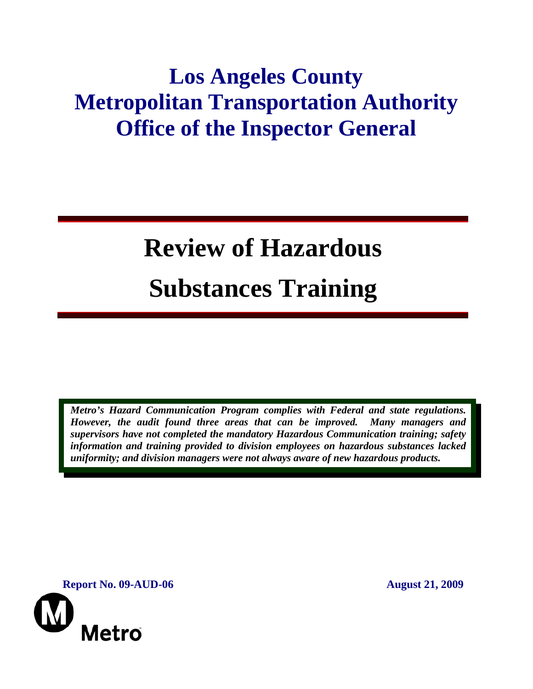# **Los Angeles County Metropolitan Transportation Authority Office of the Inspector General**

# **Review of Hazardous Substances Training**

*Metro's Hazard Communication Program complies with Federal and state regulations. However, the audit found three areas that can be improved. Many managers and supervisors have not completed the mandatory Hazardous Communication training; safety information and training provided to division employees on hazardous substances lacked uniformity; and division managers were not always aware of new hazardous products.* 

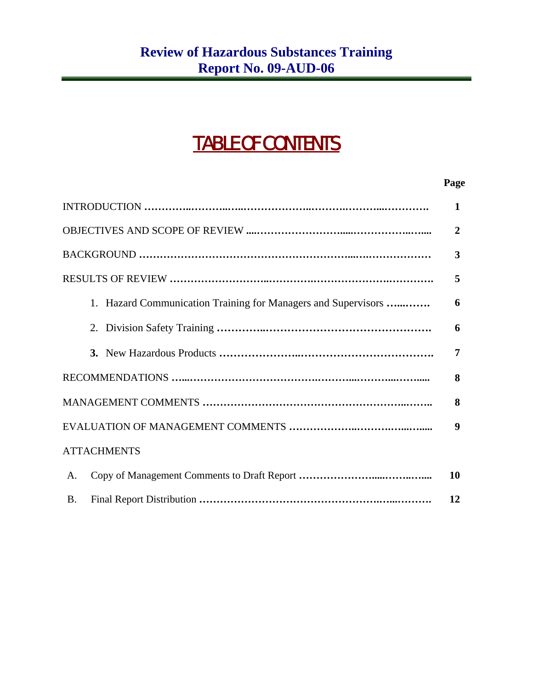# TABLE OF CONTENTS

#### **Page**

|                                                               | $\mathbf{1}$     |
|---------------------------------------------------------------|------------------|
|                                                               | $\overline{2}$   |
|                                                               | 3                |
|                                                               | 5                |
| 1. Hazard Communication Training for Managers and Supervisors | 6                |
|                                                               | 6                |
|                                                               | 7                |
|                                                               | 8                |
|                                                               | 8                |
|                                                               | $\boldsymbol{9}$ |
| <b>ATTACHMENTS</b>                                            |                  |
| A.                                                            | <b>10</b>        |
| <b>B.</b>                                                     | 12               |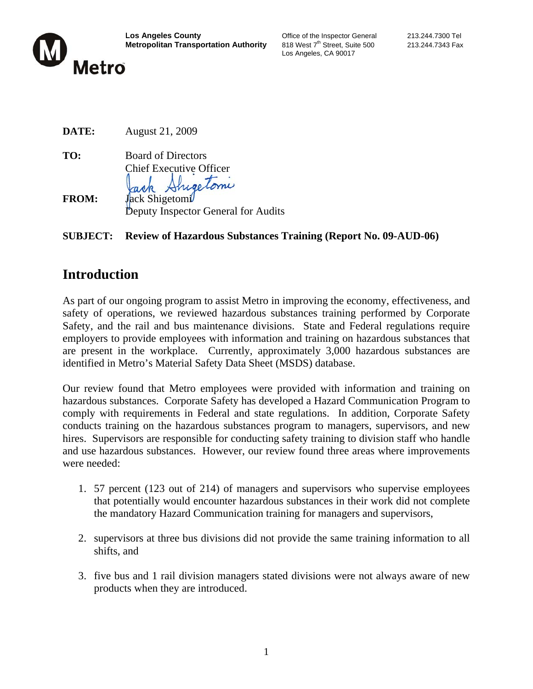

Los Angeles, CA 90017

| DATE:        | August 21, 2009                                                               |
|--------------|-------------------------------------------------------------------------------|
| TO:          | <b>Board of Directors</b><br><b>Chief Executive Officer</b><br>Jack Shigelomi |
| <b>FROM:</b> | Jack Shigetomi                                                                |

Deputy Inspector General for Audits

#### **SUBJECT: Review of Hazardous Substances Training (Report No. 09-AUD-06)**

# **Introduction**

As part of our ongoing program to assist Metro in improving the economy, effectiveness, and safety of operations, we reviewed hazardous substances training performed by Corporate Safety, and the rail and bus maintenance divisions. State and Federal regulations require employers to provide employees with information and training on hazardous substances that are present in the workplace. Currently, approximately 3,000 hazardous substances are identified in Metro's Material Safety Data Sheet (MSDS) database.

Our review found that Metro employees were provided with information and training on hazardous substances. Corporate Safety has developed a Hazard Communication Program to comply with requirements in Federal and state regulations. In addition, Corporate Safety conducts training on the hazardous substances program to managers, supervisors, and new hires. Supervisors are responsible for conducting safety training to division staff who handle and use hazardous substances. However, our review found three areas where improvements were needed:

- 1. 57 percent (123 out of 214) of managers and supervisors who supervise employees that potentially would encounter hazardous substances in their work did not complete the mandatory Hazard Communication training for managers and supervisors,
- 2. supervisors at three bus divisions did not provide the same training information to all shifts, and
- 3. five bus and 1 rail division managers stated divisions were not always aware of new products when they are introduced.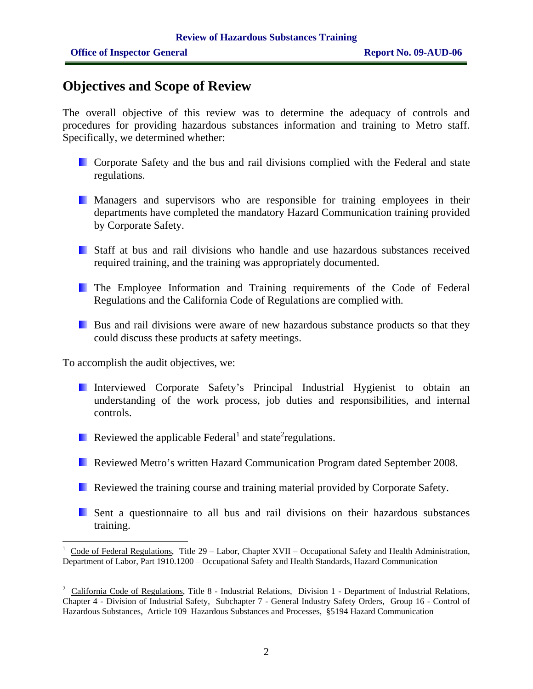# **Objectives and Scope of Review**

The overall objective of this review was to determine the adequacy of controls and procedures for providing hazardous substances information and training to Metro staff. Specifically, we determined whether:

- **Corporate Safety and the bus and rail divisions complied with the Federal and state** regulations.
- **Managers and supervisors who are responsible for training employees in their** departments have completed the mandatory Hazard Communication training provided by Corporate Safety.
- Staff at bus and rail divisions who handle and use hazardous substances received required training, and the training was appropriately documented.
- The Employee Information and Training requirements of the Code of Federal Regulations and the California Code of Regulations are complied with.
- Bus and rail divisions were aware of new hazardous substance products so that they could discuss these products at safety meetings.

To accomplish the audit objectives, we:

- Interviewed Corporate Safety's Principal Industrial Hygienist to obtain an understanding of the work process, job duties and responsibilities, and internal controls.
- Reviewed the applicable Federal<sup>1</sup> and state<sup>2</sup> regulations.
- Reviewed Metro's written Hazard Communication Program dated September 2008.
- **Reviewed the training course and training material provided by Corporate Safety.**
- Sent a questionnaire to all bus and rail divisions on their hazardous substances training.

<sup>1</sup> Code of Federal Regulations, Title 29 – Labor, Chapter XVII – Occupational Safety and Health Administration, Department of Labor, Part 1910.1200 – Occupational Safety and Health Standards, Hazard Communication

<sup>&</sup>lt;sup>2</sup> California Code of Regulations, Title 8 - Industrial Relations, Division 1 - Department of Industrial Relations, Chapter 4 - Division of Industrial Safety, Subchapter 7 - General Industry Safety Orders, Group 16 - Control of Hazardous Substances, Article 109 Hazardous Substances and Processes, §5194 Hazard Communication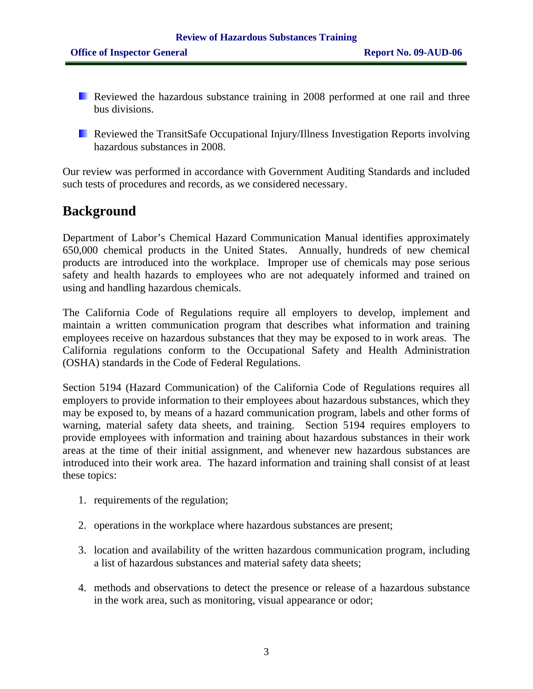- Reviewed the hazardous substance training in 2008 performed at one rail and three bus divisions.
- **Reviewed the TransitSafe Occupational Injury/Illness Investigation Reports involving** hazardous substances in 2008.

Our review was performed in accordance with Government Auditing Standards and included such tests of procedures and records, as we considered necessary.

# **Background**

Department of Labor's Chemical Hazard Communication Manual identifies approximately 650,000 chemical products in the United States. Annually, hundreds of new chemical products are introduced into the workplace. Improper use of chemicals may pose serious safety and health hazards to employees who are not adequately informed and trained on using and handling hazardous chemicals.

The California Code of Regulations require all employers to develop, implement and maintain a written communication program that describes what information and training employees receive on hazardous substances that they may be exposed to in work areas. The California regulations conform to the Occupational Safety and Health Administration (OSHA) standards in the Code of Federal Regulations.

Section 5194 (Hazard Communication) of the California Code of Regulations requires all employers to provide information to their employees about hazardous substances, which they may be exposed to, by means of a hazard communication program, labels and other forms of warning, material safety data sheets, and training. Section 5194 requires employers to provide employees with information and training about hazardous substances in their work areas at the time of their initial assignment, and whenever new hazardous substances are introduced into their work area. The hazard information and training shall consist of at least these topics:

- 1. requirements of the regulation;
- 2. operations in the workplace where hazardous substances are present;
- 3. location and availability of the written hazardous communication program, including a list of hazardous substances and material safety data sheets;
- 4. methods and observations to detect the presence or release of a hazardous substance in the work area, such as monitoring, visual appearance or odor;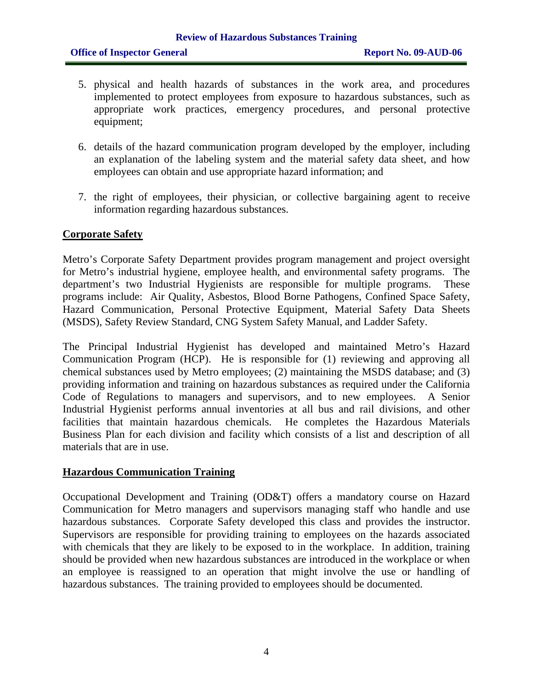- 5. physical and health hazards of substances in the work area, and procedures implemented to protect employees from exposure to hazardous substances, such as appropriate work practices, emergency procedures, and personal protective equipment;
- 6. details of the hazard communication program developed by the employer, including an explanation of the labeling system and the material safety data sheet, and how employees can obtain and use appropriate hazard information; and
- 7. the right of employees, their physician, or collective bargaining agent to receive information regarding hazardous substances.

#### **Corporate Safety**

Metro's Corporate Safety Department provides program management and project oversight for Metro's industrial hygiene, employee health, and environmental safety programs. The department's two Industrial Hygienists are responsible for multiple programs. These programs include: Air Quality, Asbestos, Blood Borne Pathogens, Confined Space Safety, Hazard Communication, Personal Protective Equipment, Material Safety Data Sheets (MSDS), Safety Review Standard, CNG System Safety Manual, and Ladder Safety.

The Principal Industrial Hygienist has developed and maintained Metro's Hazard Communication Program (HCP). He is responsible for (1) reviewing and approving all chemical substances used by Metro employees; (2) maintaining the MSDS database; and (3) providing information and training on hazardous substances as required under the California Code of Regulations to managers and supervisors, and to new employees. A Senior Industrial Hygienist performs annual inventories at all bus and rail divisions, and other facilities that maintain hazardous chemicals. He completes the Hazardous Materials Business Plan for each division and facility which consists of a list and description of all materials that are in use.

#### **Hazardous Communication Training**

Occupational Development and Training (OD&T) offers a mandatory course on Hazard Communication for Metro managers and supervisors managing staff who handle and use hazardous substances. Corporate Safety developed this class and provides the instructor. Supervisors are responsible for providing training to employees on the hazards associated with chemicals that they are likely to be exposed to in the workplace. In addition, training should be provided when new hazardous substances are introduced in the workplace or when an employee is reassigned to an operation that might involve the use or handling of hazardous substances. The training provided to employees should be documented.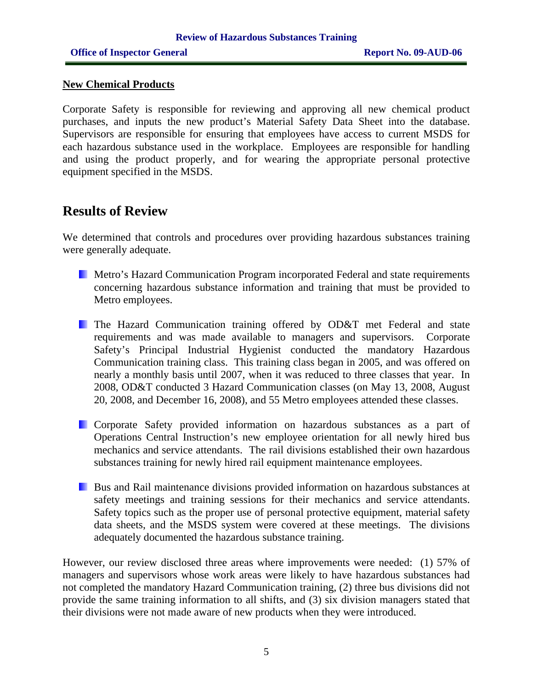#### **New Chemical Products**

Corporate Safety is responsible for reviewing and approving all new chemical product purchases, and inputs the new product's Material Safety Data Sheet into the database. Supervisors are responsible for ensuring that employees have access to current MSDS for each hazardous substance used in the workplace. Employees are responsible for handling and using the product properly, and for wearing the appropriate personal protective equipment specified in the MSDS.

## **Results of Review**

We determined that controls and procedures over providing hazardous substances training were generally adequate.

- **Metro's Hazard Communication Program incorporated Federal and state requirements** concerning hazardous substance information and training that must be provided to Metro employees.
- **The Hazard Communication training offered by OD&T met Federal and state** requirements and was made available to managers and supervisors. Corporate Safety's Principal Industrial Hygienist conducted the mandatory Hazardous Communication training class. This training class began in 2005, and was offered on nearly a monthly basis until 2007, when it was reduced to three classes that year. In 2008, OD&T conducted 3 Hazard Communication classes (on May 13, 2008, August 20, 2008, and December 16, 2008), and 55 Metro employees attended these classes.
- **Corporate Safety provided information on hazardous substances as a part of** Operations Central Instruction's new employee orientation for all newly hired bus mechanics and service attendants. The rail divisions established their own hazardous substances training for newly hired rail equipment maintenance employees.
- Bus and Rail maintenance divisions provided information on hazardous substances at safety meetings and training sessions for their mechanics and service attendants. Safety topics such as the proper use of personal protective equipment, material safety data sheets, and the MSDS system were covered at these meetings. The divisions adequately documented the hazardous substance training.

However, our review disclosed three areas where improvements were needed: (1) 57% of managers and supervisors whose work areas were likely to have hazardous substances had not completed the mandatory Hazard Communication training, (2) three bus divisions did not provide the same training information to all shifts, and (3) six division managers stated that their divisions were not made aware of new products when they were introduced.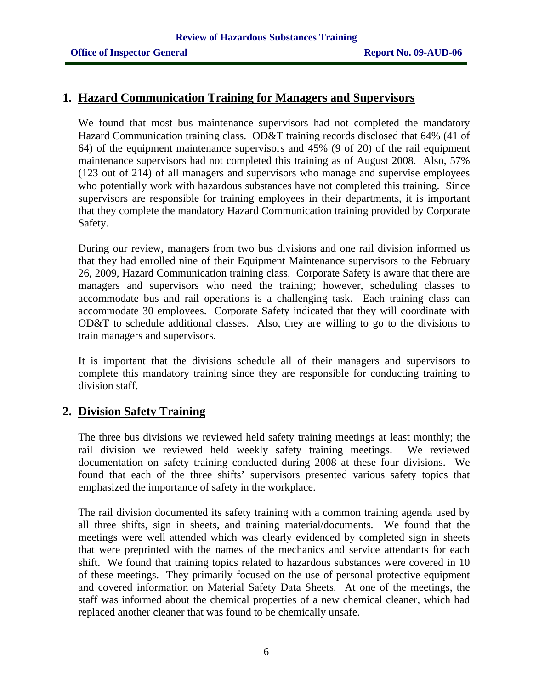#### **1. Hazard Communication Training for Managers and Supervisors**

We found that most bus maintenance supervisors had not completed the mandatory Hazard Communication training class. OD&T training records disclosed that 64% (41 of 64) of the equipment maintenance supervisors and 45% (9 of 20) of the rail equipment maintenance supervisors had not completed this training as of August 2008. Also, 57% (123 out of 214) of all managers and supervisors who manage and supervise employees who potentially work with hazardous substances have not completed this training. Since supervisors are responsible for training employees in their departments, it is important that they complete the mandatory Hazard Communication training provided by Corporate Safety.

During our review, managers from two bus divisions and one rail division informed us that they had enrolled nine of their Equipment Maintenance supervisors to the February 26, 2009, Hazard Communication training class. Corporate Safety is aware that there are managers and supervisors who need the training; however, scheduling classes to accommodate bus and rail operations is a challenging task. Each training class can accommodate 30 employees. Corporate Safety indicated that they will coordinate with OD&T to schedule additional classes. Also, they are willing to go to the divisions to train managers and supervisors.

It is important that the divisions schedule all of their managers and supervisors to complete this mandatory training since they are responsible for conducting training to division staff.

#### **2. Division Safety Training**

The three bus divisions we reviewed held safety training meetings at least monthly; the rail division we reviewed held weekly safety training meetings. We reviewed documentation on safety training conducted during 2008 at these four divisions. We found that each of the three shifts' supervisors presented various safety topics that emphasized the importance of safety in the workplace.

The rail division documented its safety training with a common training agenda used by all three shifts, sign in sheets, and training material/documents. We found that the meetings were well attended which was clearly evidenced by completed sign in sheets that were preprinted with the names of the mechanics and service attendants for each shift. We found that training topics related to hazardous substances were covered in 10 of these meetings. They primarily focused on the use of personal protective equipment and covered information on Material Safety Data Sheets. At one of the meetings, the staff was informed about the chemical properties of a new chemical cleaner, which had replaced another cleaner that was found to be chemically unsafe.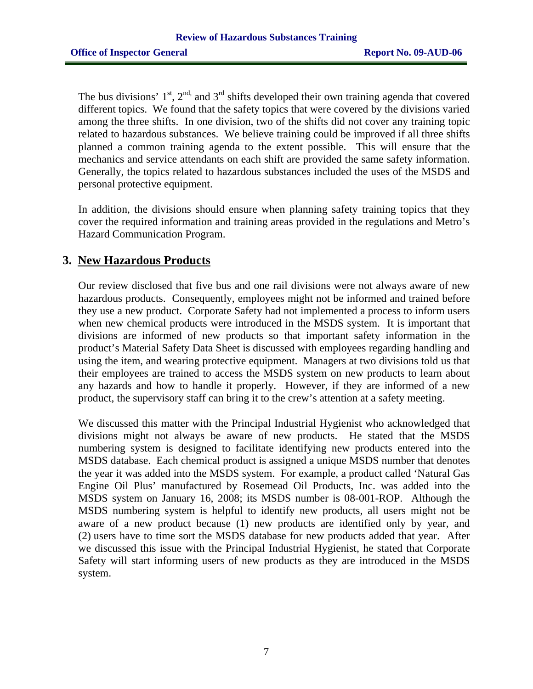The bus divisions'  $1<sup>st</sup>$ ,  $2<sup>nd</sup>$ , and  $3<sup>rd</sup>$  shifts developed their own training agenda that covered different topics. We found that the safety topics that were covered by the divisions varied among the three shifts. In one division, two of the shifts did not cover any training topic related to hazardous substances. We believe training could be improved if all three shifts planned a common training agenda to the extent possible. This will ensure that the mechanics and service attendants on each shift are provided the same safety information. Generally, the topics related to hazardous substances included the uses of the MSDS and personal protective equipment.

In addition, the divisions should ensure when planning safety training topics that they cover the required information and training areas provided in the regulations and Metro's Hazard Communication Program.

### **3. New Hazardous Products**

Our review disclosed that five bus and one rail divisions were not always aware of new hazardous products. Consequently, employees might not be informed and trained before they use a new product. Corporate Safety had not implemented a process to inform users when new chemical products were introduced in the MSDS system. It is important that divisions are informed of new products so that important safety information in the product's Material Safety Data Sheet is discussed with employees regarding handling and using the item, and wearing protective equipment. Managers at two divisions told us that their employees are trained to access the MSDS system on new products to learn about any hazards and how to handle it properly. However, if they are informed of a new product, the supervisory staff can bring it to the crew's attention at a safety meeting.

We discussed this matter with the Principal Industrial Hygienist who acknowledged that divisions might not always be aware of new products. He stated that the MSDS numbering system is designed to facilitate identifying new products entered into the MSDS database. Each chemical product is assigned a unique MSDS number that denotes the year it was added into the MSDS system. For example, a product called 'Natural Gas Engine Oil Plus' manufactured by Rosemead Oil Products, Inc. was added into the MSDS system on January 16, 2008; its MSDS number is 08-001-ROP. Although the MSDS numbering system is helpful to identify new products, all users might not be aware of a new product because (1) new products are identified only by year, and (2) users have to time sort the MSDS database for new products added that year. After we discussed this issue with the Principal Industrial Hygienist, he stated that Corporate Safety will start informing users of new products as they are introduced in the MSDS system.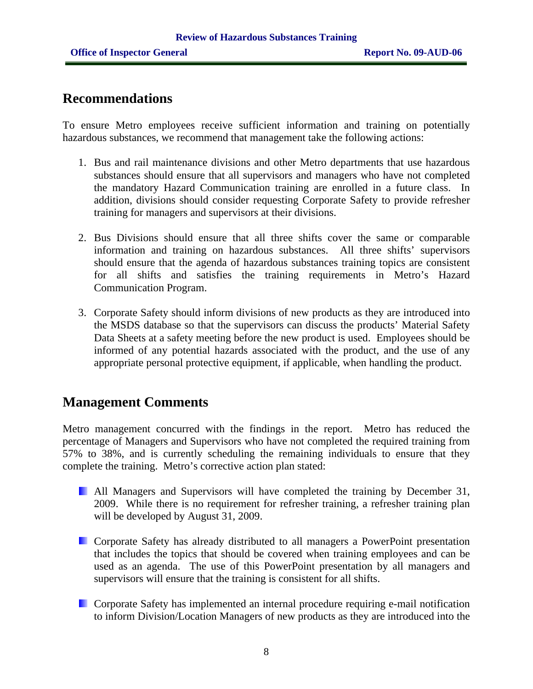# **Recommendations**

To ensure Metro employees receive sufficient information and training on potentially hazardous substances, we recommend that management take the following actions:

- 1. Bus and rail maintenance divisions and other Metro departments that use hazardous substances should ensure that all supervisors and managers who have not completed the mandatory Hazard Communication training are enrolled in a future class. In addition, divisions should consider requesting Corporate Safety to provide refresher training for managers and supervisors at their divisions.
- 2. Bus Divisions should ensure that all three shifts cover the same or comparable information and training on hazardous substances. All three shifts' supervisors should ensure that the agenda of hazardous substances training topics are consistent for all shifts and satisfies the training requirements in Metro's Hazard Communication Program.
- 3. Corporate Safety should inform divisions of new products as they are introduced into the MSDS database so that the supervisors can discuss the products' Material Safety Data Sheets at a safety meeting before the new product is used. Employees should be informed of any potential hazards associated with the product, and the use of any appropriate personal protective equipment, if applicable, when handling the product.

# **Management Comments**

Metro management concurred with the findings in the report. Metro has reduced the percentage of Managers and Supervisors who have not completed the required training from 57% to 38%, and is currently scheduling the remaining individuals to ensure that they complete the training. Metro's corrective action plan stated:

- **All Managers and Supervisors will have completed the training by December 31,** 2009. While there is no requirement for refresher training, a refresher training plan will be developed by August 31, 2009.
- **E.** Corporate Safety has already distributed to all managers a PowerPoint presentation that includes the topics that should be covered when training employees and can be used as an agenda. The use of this PowerPoint presentation by all managers and supervisors will ensure that the training is consistent for all shifts.
- Corporate Safety has implemented an internal procedure requiring e-mail notification to inform Division/Location Managers of new products as they are introduced into the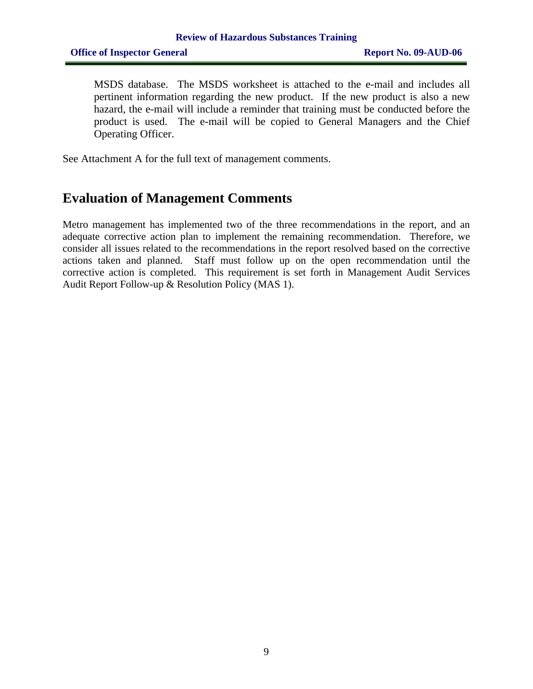MSDS database. The MSDS worksheet is attached to the e-mail and includes all pertinent information regarding the new product. If the new product is also a new hazard, the e-mail will include a reminder that training must be conducted before the product is used. The e-mail will be copied to General Managers and the Chief Operating Officer.

See Attachment A for the full text of management comments.

# **Evaluation of Management Comments**

Metro management has implemented two of the three recommendations in the report, and an adequate corrective action plan to implement the remaining recommendation. Therefore, we consider all issues related to the recommendations in the report resolved based on the corrective actions taken and planned. Staff must follow up on the open recommendation until the corrective action is completed. This requirement is set forth in Management Audit Services Audit Report Follow-up & Resolution Policy (MAS 1).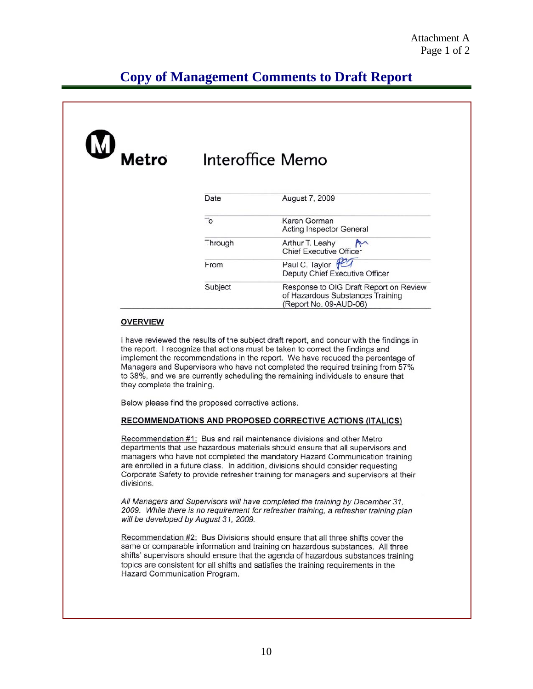# **Copy of Management Comments to Draft Report**

| Metro | Interoffice Memo |                                                                                                      |  |
|-------|------------------|------------------------------------------------------------------------------------------------------|--|
|       | Date             | August 7, 2009                                                                                       |  |
|       | To               | Karen Gorman<br><b>Acting Inspector General</b>                                                      |  |
|       | Through          | Arthur T. Leahy<br>$\sim$<br><b>Chief Executive Officer</b>                                          |  |
|       | From             | Paul C. Taylor PCT<br>Deputy Chief Executive Officer                                                 |  |
|       | Subject          | Response to OIG Draft Report on Review<br>of Hazardous Substances Training<br>(Report No. 09-AUD-06) |  |

#### **OVERVIEW**

I have reviewed the results of the subject draft report, and concur with the findings in the report. I recognize that actions must be taken to correct the findings and implement the recommendations in the report. We have reduced the percentage of Managers and Supervisors who have not completed the required training from 57% to 38%, and we are currently scheduling the remaining individuals to ensure that they complete the training.

Below please find the proposed corrective actions.

#### RECOMMENDATIONS AND PROPOSED CORRECTIVE ACTIONS (ITALICS)

Recommendation #1: Bus and rail maintenance divisions and other Metro departments that use hazardous materials should ensure that all supervisors and managers who have not completed the mandatory Hazard Communication training are enrolled in a future class. In addition, divisions should consider requesting Corporate Safety to provide refresher training for managers and supervisors at their divisions.

All Managers and Supervisors will have completed the training by December 31. 2009. While there is no requirement for refresher training, a refresher training plan will be developed by August 31, 2009.

Recommendation #2: Bus Divisions should ensure that all three shifts cover the same or comparable information and training on hazardous substances. All three shifts' supervisors should ensure that the agenda of hazardous substances training topics are consistent for all shifts and satisfies the training requirements in the Hazard Communication Program.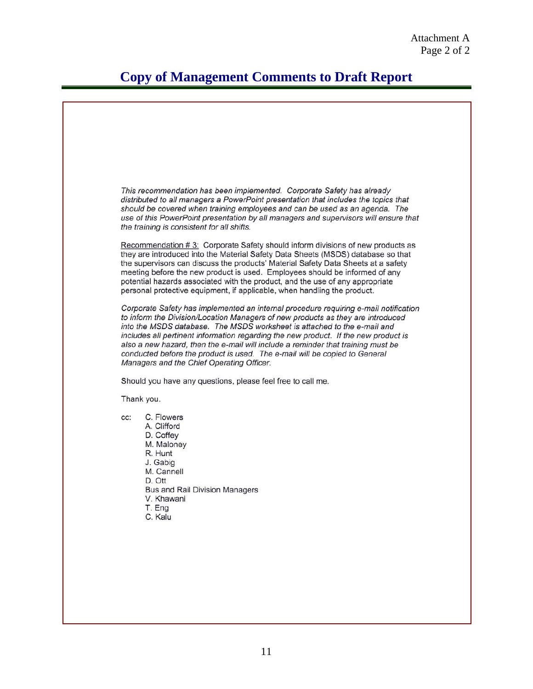# **Copy of Management Comments to Draft Report**

This recommendation has been implemented. Corporate Safety has already distributed to all managers a PowerPoint presentation that includes the topics that should be covered when training employees and can be used as an agenda. The use of this PowerPoint presentation by all managers and supervisors will ensure that the training is consistent for all shifts. Recommendation #3: Corporate Safety should inform divisions of new products as they are introduced into the Material Safety Data Sheets (MSDS) database so that the supervisors can discuss the products' Material Safety Data Sheets at a safety meeting before the new product is used. Employees should be informed of any potential hazards associated with the product, and the use of any appropriate personal protective equipment, if applicable, when handling the product. Corporate Safety has implemented an internal procedure requiring e-mail notification to inform the Division/Location Managers of new products as they are introduced into the MSDS database. The MSDS worksheet is attached to the e-mail and includes all pertinent information regarding the new product. If the new product is also a new hazard, then the e-mail will include a reminder that training must be conducted before the product is used. The e-mail will be copied to General Managers and the Chief Operating Officer. Should you have any questions, please feel free to call me. Thank you. C. Flowers CC: A. Clifford D. Coffey M. Maloney R. Hunt J. Gabig M. Cannell D. Ott **Bus and Rail Division Managers** V. Khawani T. Eng C. Kalu